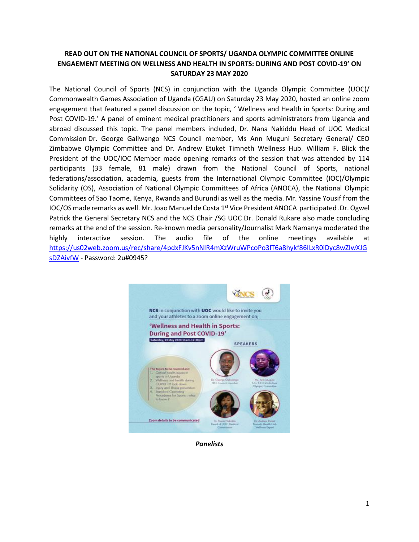## **READ OUT ON THE NATIONAL COUNCIL OF SPORTS/ UGANDA OLYMPIC COMMITTEE ONLINE ENGAEMENT MEETING ON WELLNESS AND HEALTH IN SPORTS: DURING AND POST COVID-19' ON SATURDAY 23 MAY 2020**

The National Council of Sports (NCS) in conjunction with the Uganda Olympic Committee (UOC)/ Commonwealth Games Association of Uganda (CGAU) on Saturday 23 May 2020, hosted an online zoom engagement that featured a panel discussion on the topic, ' Wellness and Health in Sports: During and Post COVID-19.' A panel of eminent medical practitioners and sports administrators from Uganda and abroad discussed this topic. The panel members included, Dr. Nana Nakiddu Head of UOC Medical Commission Dr. George Galiwango NCS Council member, Ms Ann Muguni Secretary General/ CEO Zimbabwe Olympic Committee and Dr. Andrew Etuket Timneth Wellness Hub. William F. Blick the President of the UOC/IOC Member made opening remarks of the session that was attended by 114 participants (33 female, 81 male) drawn from the National Council of Sports, national federations/association, academia, guests from the International Olympic Committee (IOC)/Olympic Solidarity (OS), Association of National Olympic Committees of Africa (ANOCA), the National Olympic Committees of Sao Taome, Kenya, Rwanda and Burundi as well as the media. Mr. Yassine Yousif from the IOC/OS made remarks as well. Mr. Joao Manuel de Costa 1<sup>st</sup> Vice President ANOCA participated .Dr. Ogwel Patrick the General Secretary NCS and the NCS Chair /SG UOC Dr. Donald Rukare also made concluding remarks at the end of the session. Re-known media personality/Journalist Mark Namanya moderated the highly interactive session. The audio file of the online meetings available at [https://us02web.zoom.us/rec/share/4pdxFJKv5nNIR4mXzWruWPcoPo3lT6a8hykf86ILxR0iDyc8wZIwXJG](https://us02web.zoom.us/rec/share/4pdxFJKv5nNIR4mXzWruWPcoPo3lT6a8hykf86ILxR0iDyc8wZIwXJGsDZAivfW) [sDZAivfW](https://us02web.zoom.us/rec/share/4pdxFJKv5nNIR4mXzWruWPcoPo3lT6a8hykf86ILxR0iDyc8wZIwXJGsDZAivfW) - Password: 2u#0945?



*Panelists*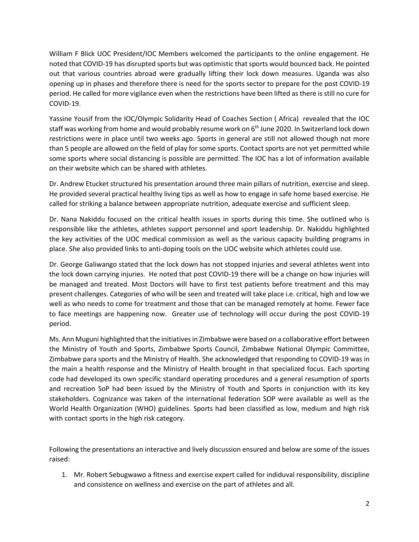William F Blick UOC President/IOC Members welcomed the participants to the online engagement. He noted that COVID-19 has disrupted sports but was optimistic that sports would bounced back. He pointed out that various countries abroad were gradually lifting their lock down measures. Uganda was also opening up in phases and therefore there is need for the sports sector to prepare for the post COVID-19 period. He called for more vigilance even when the restrictions have been lifted as there is still no cure for COVID-19.

Yassine Yousif from the IOC/Olympic Solidarity Head of Coaches Section ( Africa) revealed that the IOC staff was working from home and would probably resume work on 6<sup>th</sup> June 2020. In Switzerland lock down restrictions were in place until two weeks ago. Sports in general are still not allowed though not more than 5 people are allowed on the field of play for some sports. Contact sports are not yet permitted while some sports where social distancing is possible are permitted. The IOC has a lot of information available on their website which can be shared with athletes.

Dr. Andrew Etucket structured his presentation around three main pillars of nutrition, exercise and sleep. He provided several practical healthy living tips as well as how to engage in safe home based exercise. He called for striking a balance between appropriate nutrition, adequate exercise and sufficient sleep.

Dr. Nana Nakiddu focused on the critical health issues in sports during this time. She outlined who is responsible like the athletes, athletes support personnel and sport leadership. Dr. Nakiddu highlighted the key activities of the UOC medical commission as well as the various capacity building programs in place. She also provided links to anti-doping tools on the UOC website which athletes could use.

Dr. George Galiwango stated that the lock down has not stopped injuries and several athletes went into the lock down carrying injuries. He noted that post COVID-19 there will be a change on how injuries will be managed and treated. Most Doctors will have to first test patients before treatment and this may present challenges. Categories of who will be seen and treated will take place i.e. critical, high and low we well as who needs to come for treatment and those that can be managed remotely at home. Fewer face to face meetings are happening now. Greater use of technology will occur during the post COVID-19 period.

Ms. Ann Muguni highlighted that the initiativesin Zimbabwe were based on a collaborative effort between the Ministry of Youth and Sports, Zimbabwe Sports Council, Zimbabwe National Olympic Committee, Zimbabwe para sports and the Ministry of Health. She acknowledged that responding to COVID-19 was in the main a health response and the Ministry of Health brought in that specialized focus. Each sporting code had developed its own specific standard operating procedures and a general resumption of sports and recreation SoP had been issued by the Ministry of Youth and Sports in conjunction with its key stakeholders. Cognizance was taken of the international federation SOP were available as well as the World Health Organization (WHO) guidelines. Sports had been classified as low, medium and high risk with contact sports in the high risk category.

Following the presentations an interactive and lively discussion ensured and below are some of the issues raised:

1. Mr. Robert Sebugwawo a fitness and exercise expert called for indiduval responsibility, discipline and consistence on wellness and exercise on the part of athletes and all.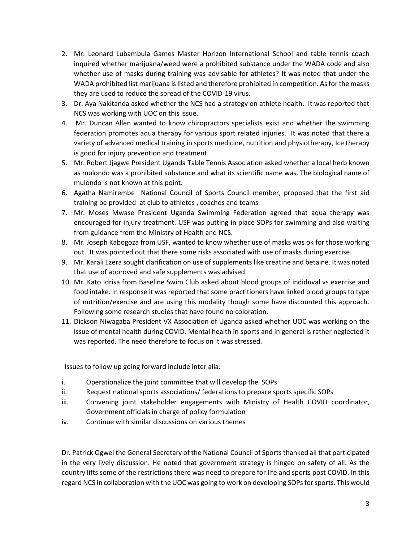- 2. Mr. Leonard Lubambula Games Master Horizon International School and table tennis coach inquired whether marijuana/weed were a prohibited substance under the WADA code and also whether use of masks during training was advisable for athletes? It was noted that under the WADA prohibited list marijuana is listed and therefore prohibited in competition. As for the masks they are used to reduce the spread of the COVID-19 virus.
- 3. Dr. Aya Nakitanda asked whether the NCS had a strategy on athlete health. It was reported that NCS was working with UOC on this issue.
- 4. Mr. Duncan Allen wanted to know chiropractors specialists exist and whether the swimming federation promotes aqua therapy for various sport related injuries. It was noted that there a variety of advanced medical training in sports medicine, nutrition and physiotherapy, Ice therapy is good for injury prevention and treatment.
- 5. Mr. Robert Jjagwe President Uganda Table Tennis Association asked whether a local herb known as mulondo was a prohibited substance and what its scientific name was. The biological name of mulondo is not known at this point.
- 6. Agatha Namirembe National Council of Sports Council member, proposed that the first aid training be provided at club to athletes , coaches and teams
- 7. Mr. Moses Mwase President Uganda Swimming Federation agreed that aqua therapy was encouraged for injury treatment. USF was putting in place SOPs for swimming and also waiting from guidance from the Ministry of Health and NCS.
- 8. Mr. Joseph Kabogoza from USF, wanted to know whether use of masks was ok for those working out. It was pointed out that there some risks associated with use of masks during exercise.
- 9. Mr. Karali Ezera sought clarification on use of supplements like creatine and betaine. It was noted that use of approved and safe supplements was advised.
- 10. Mr. Kato Idrisa from Baseline Swim Club asked about blood groups of indiduval vs exercise and food intake. In response it was reported that some practitioners have linked blood groups to type of nutrition/exercise and are using this modality though some have discounted this approach. Following some research studies that have found no coloration.
- 11. Dickson Niwagaba President VX Association of Uganda asked whether UOC was working on the issue of mental health during COVID. Mental health in sports and in general is rather neglected it was reported. The need therefore to focus on it was stressed.

Issues to follow up going forward include inter alia:

- i. Operationalize the joint committee that will develop the SOPs
- ii. Request national sports associations/ federations to prepare sports specific SOPs
- iii. Convening joint stakeholder engagements with Ministry of Health COVID coordinator, Government officials in charge of policy formulation
- iv. Continue with similar discussions on various themes

Dr. Patrick Ogwel the General Secretary of the National Council of Sports thanked all that participated in the very lively discussion. He noted that government strategy is hinged on safety of all. As the country lifts some of the restrictions there was need to prepare for life and sports post COVID. In this regard NCS in collaboration with the UOC was going to work on developing SOPs for sports. This would